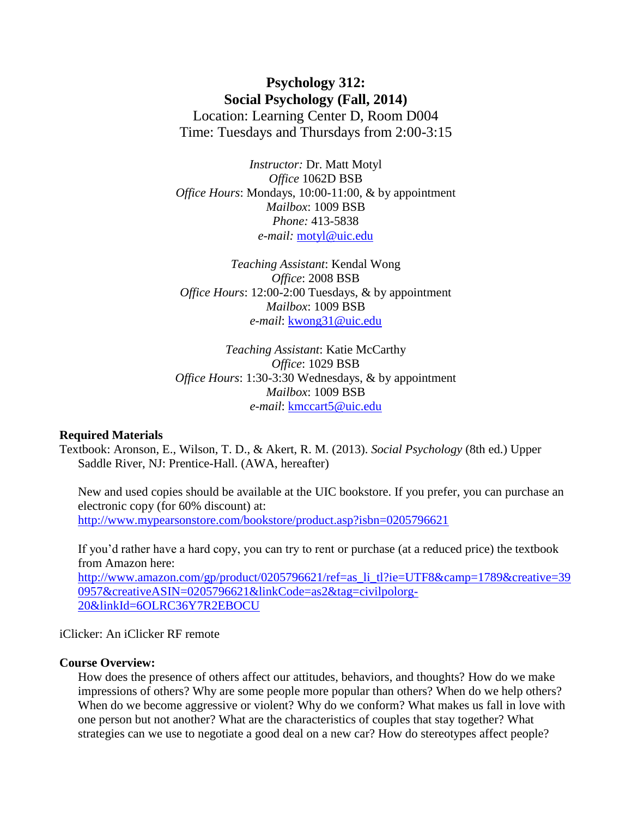## **Psychology 312: Social Psychology (Fall, 2014)** Location: Learning Center D, Room D004 Time: Tuesdays and Thursdays from 2:00-3:15

*Instructor:* Dr. Matt Motyl *Office* 1062D BSB *Office Hours*: Mondays, 10:00-11:00, & by appointment *Mailbox*: 1009 BSB *Phone:* 413-5838 *e-mail:* [motyl@uic.edu](mailto:motyl@uic.edu)

*Teaching Assistant*: Kendal Wong *Office*: 2008 BSB *Office Hours*: 12:00-2:00 Tuesdays, & by appointment *Mailbox*: 1009 BSB *e-mail*: [kwong31@uic.edu](mailto:kwong31@uic.edu)

*Teaching Assistant*: Katie McCarthy *Office*: 1029 BSB *Office Hours*: 1:30-3:30 Wednesdays, & by appointment *Mailbox*: 1009 BSB *e-mail*: [kmccart5@uic.edu](mailto:kmccart5@uic.edu)

#### **Required Materials**

Textbook: Aronson, E., Wilson, T. D., & Akert, R. M. (2013). *Social Psychology* (8th ed.) Upper Saddle River, NJ: Prentice-Hall. (AWA, hereafter)

New and used copies should be available at the UIC bookstore. If you prefer, you can purchase an electronic copy (for 60% discount) at: [http://www.mypearsonstore.com/bookstore/product.asp?isbn=0205796621](http://www.mypearsonstore.com/bookstore/product.asp?isbn=0205796621%20)

If you'd rather have a hard copy, you can try to rent or purchase (at a reduced price) the textbook from Amazon here:

[http://www.amazon.com/gp/product/0205796621/ref=as\\_li\\_tl?ie=UTF8&camp=1789&creative=39](http://www.amazon.com/gp/product/0205796621/ref=as_li_tl?ie=UTF8&camp=1789&creative=390957&creativeASIN=0205796621&linkCode=as2&tag=civilpolorg-20&linkId=6OLRC36Y7R2EBOCU) [0957&creativeASIN=0205796621&linkCode=as2&tag=civilpolorg-](http://www.amazon.com/gp/product/0205796621/ref=as_li_tl?ie=UTF8&camp=1789&creative=390957&creativeASIN=0205796621&linkCode=as2&tag=civilpolorg-20&linkId=6OLRC36Y7R2EBOCU)[20&linkId=6OLRC36Y7R2EBOCU](http://www.amazon.com/gp/product/0205796621/ref=as_li_tl?ie=UTF8&camp=1789&creative=390957&creativeASIN=0205796621&linkCode=as2&tag=civilpolorg-20&linkId=6OLRC36Y7R2EBOCU)

iClicker: An iClicker RF remote

### **Course Overview:**

How does the presence of others affect our attitudes, behaviors, and thoughts? How do we make impressions of others? Why are some people more popular than others? When do we help others? When do we become aggressive or violent? Why do we conform? What makes us fall in love with one person but not another? What are the characteristics of couples that stay together? What strategies can we use to negotiate a good deal on a new car? How do stereotypes affect people?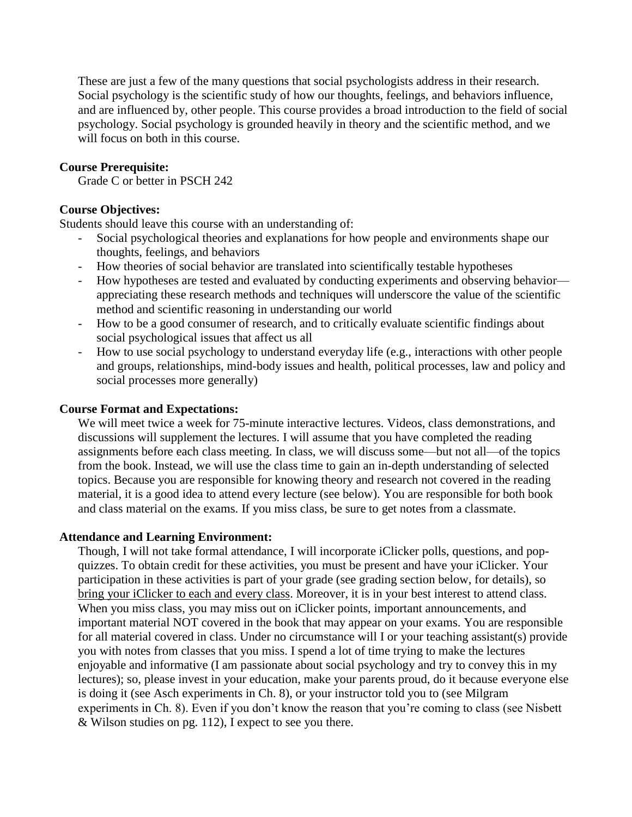These are just a few of the many questions that social psychologists address in their research. Social psychology is the scientific study of how our thoughts, feelings, and behaviors influence, and are influenced by, other people. This course provides a broad introduction to the field of social psychology. Social psychology is grounded heavily in theory and the scientific method, and we will focus on both in this course.

## **Course Prerequisite:**

Grade C or better in PSCH 242

## **Course Objectives:**

Students should leave this course with an understanding of:

- Social psychological theories and explanations for how people and environments shape our thoughts, feelings, and behaviors
- How theories of social behavior are translated into scientifically testable hypotheses
- How hypotheses are tested and evaluated by conducting experiments and observing behavior appreciating these research methods and techniques will underscore the value of the scientific method and scientific reasoning in understanding our world
- How to be a good consumer of research, and to critically evaluate scientific findings about social psychological issues that affect us all
- How to use social psychology to understand everyday life (e.g., interactions with other people and groups, relationships, mind-body issues and health, political processes, law and policy and social processes more generally)

#### **Course Format and Expectations:**

We will meet twice a week for 75-minute interactive lectures. Videos, class demonstrations, and discussions will supplement the lectures. I will assume that you have completed the reading assignments before each class meeting. In class, we will discuss some—but not all—of the topics from the book. Instead, we will use the class time to gain an in-depth understanding of selected topics. Because you are responsible for knowing theory and research not covered in the reading material, it is a good idea to attend every lecture (see below). You are responsible for both book and class material on the exams. If you miss class, be sure to get notes from a classmate.

## **Attendance and Learning Environment:**

Though, I will not take formal attendance, I will incorporate iClicker polls, questions, and popquizzes. To obtain credit for these activities, you must be present and have your iClicker. Your participation in these activities is part of your grade (see grading section below, for details), so bring your iClicker to each and every class. Moreover, it is in your best interest to attend class. When you miss class, you may miss out on iClicker points, important announcements, and important material NOT covered in the book that may appear on your exams. You are responsible for all material covered in class. Under no circumstance will I or your teaching assistant(s) provide you with notes from classes that you miss. I spend a lot of time trying to make the lectures enjoyable and informative (I am passionate about social psychology and try to convey this in my lectures); so, please invest in your education, make your parents proud, do it because everyone else is doing it (see Asch experiments in Ch. 8), or your instructor told you to (see Milgram experiments in Ch. 8). Even if you don't know the reason that you're coming to class (see Nisbett & Wilson studies on pg. 112), I expect to see you there.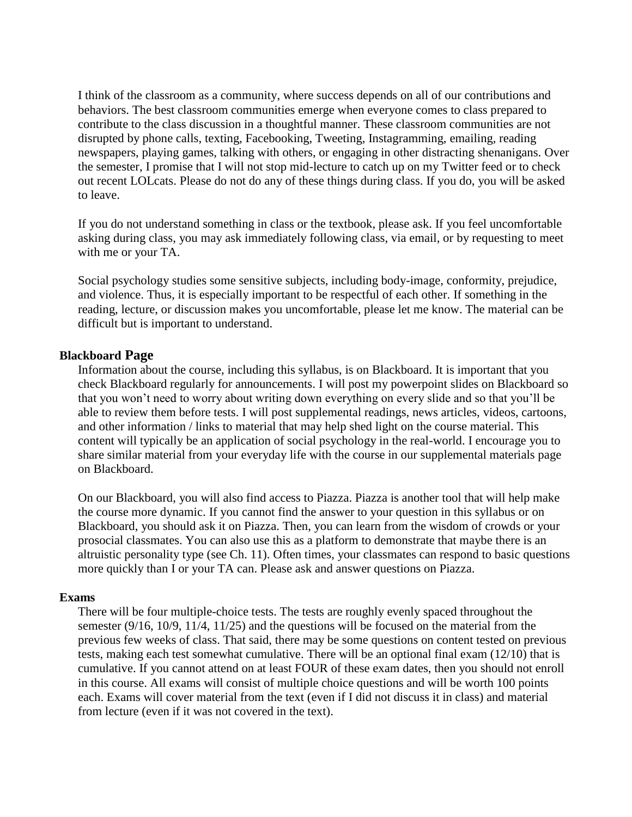I think of the classroom as a community, where success depends on all of our contributions and behaviors. The best classroom communities emerge when everyone comes to class prepared to contribute to the class discussion in a thoughtful manner. These classroom communities are not disrupted by phone calls, texting, Facebooking, Tweeting, Instagramming, emailing, reading newspapers, playing games, talking with others, or engaging in other distracting shenanigans. Over the semester, I promise that I will not stop mid-lecture to catch up on my Twitter feed or to check out recent LOLcats. Please do not do any of these things during class. If you do, you will be asked to leave.

If you do not understand something in class or the textbook, please ask. If you feel uncomfortable asking during class, you may ask immediately following class, via email, or by requesting to meet with me or your TA.

Social psychology studies some sensitive subjects, including body-image, conformity, prejudice, and violence. Thus, it is especially important to be respectful of each other. If something in the reading, lecture, or discussion makes you uncomfortable, please let me know. The material can be difficult but is important to understand.

#### **Blackboard Page**

Information about the course, including this syllabus, is on Blackboard. It is important that you check Blackboard regularly for announcements. I will post my powerpoint slides on Blackboard so that you won't need to worry about writing down everything on every slide and so that you'll be able to review them before tests. I will post supplemental readings, news articles, videos, cartoons, and other information / links to material that may help shed light on the course material. This content will typically be an application of social psychology in the real-world. I encourage you to share similar material from your everyday life with the course in our supplemental materials page on Blackboard.

On our Blackboard, you will also find access to Piazza. Piazza is another tool that will help make the course more dynamic. If you cannot find the answer to your question in this syllabus or on Blackboard, you should ask it on Piazza. Then, you can learn from the wisdom of crowds or your prosocial classmates. You can also use this as a platform to demonstrate that maybe there is an altruistic personality type (see Ch. 11). Often times, your classmates can respond to basic questions more quickly than I or your TA can. Please ask and answer questions on Piazza.

#### **Exams**

There will be four multiple-choice tests. The tests are roughly evenly spaced throughout the semester (9/16, 10/9, 11/4, 11/25) and the questions will be focused on the material from the previous few weeks of class. That said, there may be some questions on content tested on previous tests, making each test somewhat cumulative. There will be an optional final exam (12/10) that is cumulative. If you cannot attend on at least FOUR of these exam dates, then you should not enroll in this course. All exams will consist of multiple choice questions and will be worth 100 points each. Exams will cover material from the text (even if I did not discuss it in class) and material from lecture (even if it was not covered in the text).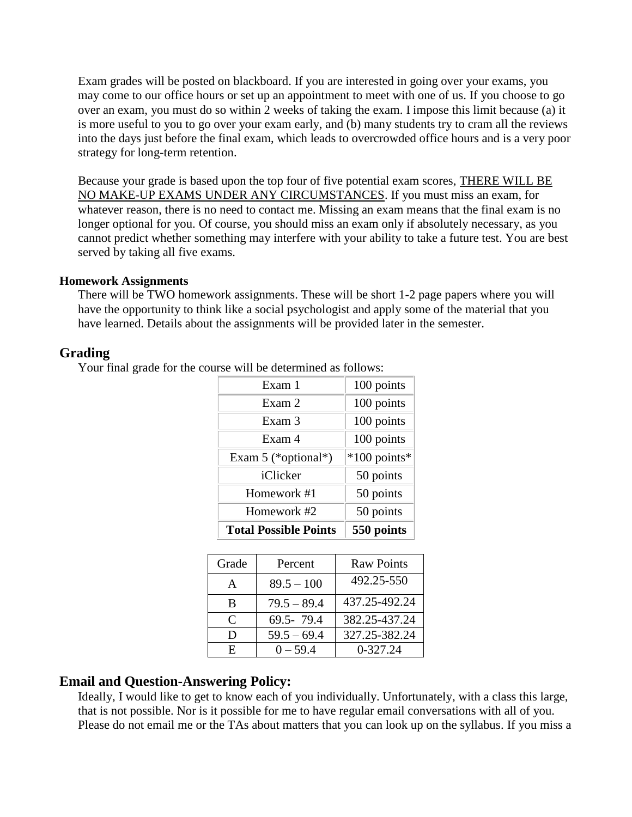Exam grades will be posted on blackboard. If you are interested in going over your exams, you may come to our office hours or set up an appointment to meet with one of us. If you choose to go over an exam, you must do so within 2 weeks of taking the exam. I impose this limit because (a) it is more useful to you to go over your exam early, and (b) many students try to cram all the reviews into the days just before the final exam, which leads to overcrowded office hours and is a very poor strategy for long-term retention.

Because your grade is based upon the top four of five potential exam scores, THERE WILL BE NO MAKE-UP EXAMS UNDER ANY CIRCUMSTANCES. If you must miss an exam, for whatever reason, there is no need to contact me. Missing an exam means that the final exam is no longer optional for you. Of course, you should miss an exam only if absolutely necessary, as you cannot predict whether something may interfere with your ability to take a future test. You are best served by taking all five exams.

## **Homework Assignments**

There will be TWO homework assignments. These will be short 1-2 page papers where you will have the opportunity to think like a social psychologist and apply some of the material that you have learned. Details about the assignments will be provided later in the semester.

## **Grading**

Your final grade for the course will be determined as follows:

| Exam 1                       | 100 points     |
|------------------------------|----------------|
| Exam 2                       | 100 points     |
| Exam 3                       | 100 points     |
| Exam 4                       | 100 points     |
| Exam 5 (*optional*)          | $*100$ points* |
| iClicker                     | 50 points      |
| Homework #1                  | 50 points      |
| Homework #2                  | 50 points      |
| <b>Total Possible Points</b> | 550 points     |

| Grade                       | Percent       | <b>Raw Points</b> |
|-----------------------------|---------------|-------------------|
| A                           | $89.5 - 100$  | 492.25-550        |
| B                           | $79.5 - 89.4$ | 437.25-492.24     |
| $\mathcal{C}_{\mathcal{C}}$ | 69.5-79.4     | 382.25-437.24     |
| Ð                           | $59.5 - 69.4$ | 327.25-382.24     |
| F.                          | $0 - 59.4$    | 0-327.24          |

## **Email and Question-Answering Policy:**

Ideally, I would like to get to know each of you individually. Unfortunately, with a class this large, that is not possible. Nor is it possible for me to have regular email conversations with all of you. Please do not email me or the TAs about matters that you can look up on the syllabus. If you miss a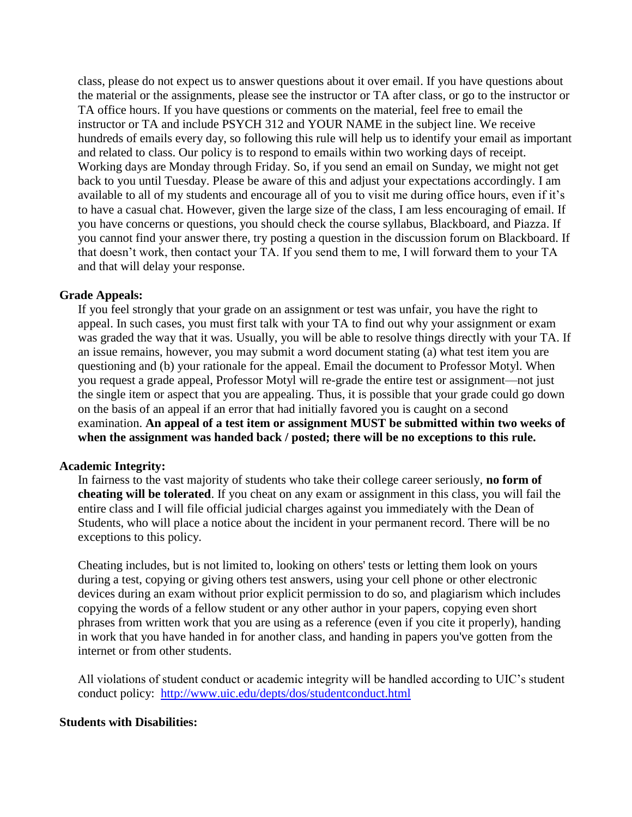class, please do not expect us to answer questions about it over email. If you have questions about the material or the assignments, please see the instructor or TA after class, or go to the instructor or TA office hours. If you have questions or comments on the material, feel free to email the instructor or TA and include PSYCH 312 and YOUR NAME in the subject line. We receive hundreds of emails every day, so following this rule will help us to identify your email as important and related to class. Our policy is to respond to emails within two working days of receipt. Working days are Monday through Friday. So, if you send an email on Sunday, we might not get back to you until Tuesday. Please be aware of this and adjust your expectations accordingly. I am available to all of my students and encourage all of you to visit me during office hours, even if it's to have a casual chat. However, given the large size of the class, I am less encouraging of email. If you have concerns or questions, you should check the course syllabus, Blackboard, and Piazza. If you cannot find your answer there, try posting a question in the discussion forum on Blackboard. If that doesn't work, then contact your TA. If you send them to me, I will forward them to your TA and that will delay your response.

## **Grade Appeals:**

If you feel strongly that your grade on an assignment or test was unfair, you have the right to appeal. In such cases, you must first talk with your TA to find out why your assignment or exam was graded the way that it was. Usually, you will be able to resolve things directly with your TA. If an issue remains, however, you may submit a word document stating (a) what test item you are questioning and (b) your rationale for the appeal. Email the document to Professor Motyl. When you request a grade appeal, Professor Motyl will re-grade the entire test or assignment—not just the single item or aspect that you are appealing. Thus, it is possible that your grade could go down on the basis of an appeal if an error that had initially favored you is caught on a second examination. **An appeal of a test item or assignment MUST be submitted within two weeks of when the assignment was handed back / posted; there will be no exceptions to this rule.**

#### **Academic Integrity:**

In fairness to the vast majority of students who take their college career seriously, **no form of cheating will be tolerated**. If you cheat on any exam or assignment in this class, you will fail the entire class and I will file official judicial charges against you immediately with the Dean of Students, who will place a notice about the incident in your permanent record. There will be no exceptions to this policy.

Cheating includes, but is not limited to, looking on others' tests or letting them look on yours during a test, copying or giving others test answers, using your cell phone or other electronic devices during an exam without prior explicit permission to do so, and plagiarism which includes copying the words of a fellow student or any other author in your papers, copying even short phrases from written work that you are using as a reference (even if you cite it properly), handing in work that you have handed in for another class, and handing in papers you've gotten from the internet or from other students.

All violations of student conduct or academic integrity will be handled according to UIC's student conduct policy: <http://www.uic.edu/depts/dos/studentconduct.html>

#### **Students with Disabilities:**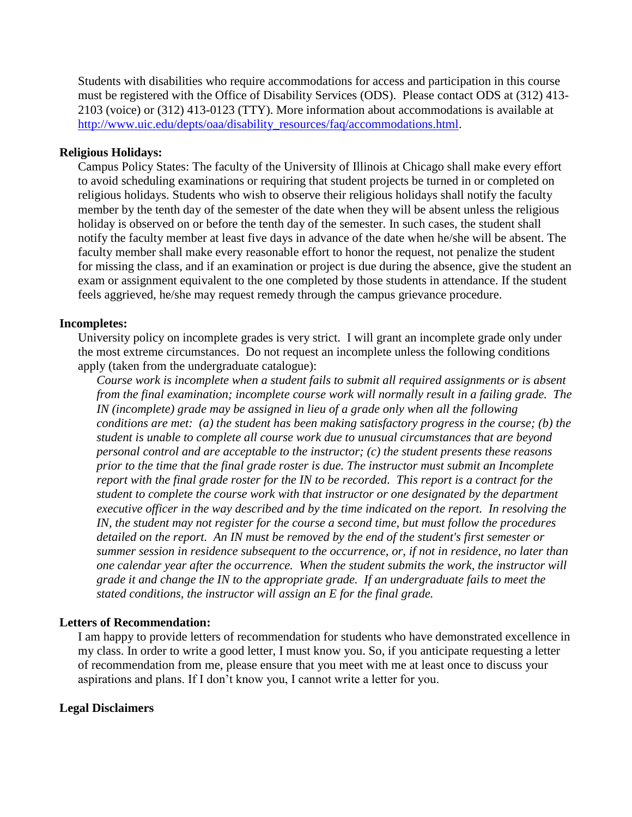Students with disabilities who require accommodations for access and participation in this course must be registered with the Office of Disability Services (ODS). Please contact ODS at (312) 413- 2103 (voice) or (312) 413-0123 (TTY). More information about accommodations is available at [http://www.uic.edu/depts/oaa/disability\\_resources/faq/accommodations.html.](http://www.uic.edu/depts/oaa/disability_resources/faq/accommodations.html)

## **Religious Holidays:**

Campus Policy States: The faculty of the University of Illinois at Chicago shall make every effort to avoid scheduling examinations or requiring that student projects be turned in or completed on religious holidays. Students who wish to observe their religious holidays shall notify the faculty member by the tenth day of the semester of the date when they will be absent unless the religious holiday is observed on or before the tenth day of the semester. In such cases, the student shall notify the faculty member at least five days in advance of the date when he/she will be absent. The faculty member shall make every reasonable effort to honor the request, not penalize the student for missing the class, and if an examination or project is due during the absence, give the student an exam or assignment equivalent to the one completed by those students in attendance. If the student feels aggrieved, he/she may request remedy through the campus grievance procedure.

## **Incompletes:**

University policy on incomplete grades is very strict. I will grant an incomplete grade only under the most extreme circumstances. Do not request an incomplete unless the following conditions apply (taken from the undergraduate catalogue):

*Course work is incomplete when a student fails to submit all required assignments or is absent from the final examination; incomplete course work will normally result in a failing grade. The IN (incomplete) grade may be assigned in lieu of a grade only when all the following conditions are met: (a) the student has been making satisfactory progress in the course; (b) the student is unable to complete all course work due to unusual circumstances that are beyond personal control and are acceptable to the instructor; (c) the student presents these reasons prior to the time that the final grade roster is due. The instructor must submit an Incomplete report with the final grade roster for the IN to be recorded. This report is a contract for the student to complete the course work with that instructor or one designated by the department executive officer in the way described and by the time indicated on the report. In resolving the IN, the student may not register for the course a second time, but must follow the procedures detailed on the report. An IN must be removed by the end of the student's first semester or summer session in residence subsequent to the occurrence, or, if not in residence, no later than one calendar year after the occurrence. When the student submits the work, the instructor will grade it and change the IN to the appropriate grade. If an undergraduate fails to meet the stated conditions, the instructor will assign an E for the final grade.*

#### **Letters of Recommendation:**

I am happy to provide letters of recommendation for students who have demonstrated excellence in my class. In order to write a good letter, I must know you. So, if you anticipate requesting a letter of recommendation from me, please ensure that you meet with me at least once to discuss your aspirations and plans. If I don't know you, I cannot write a letter for you.

## **Legal Disclaimers**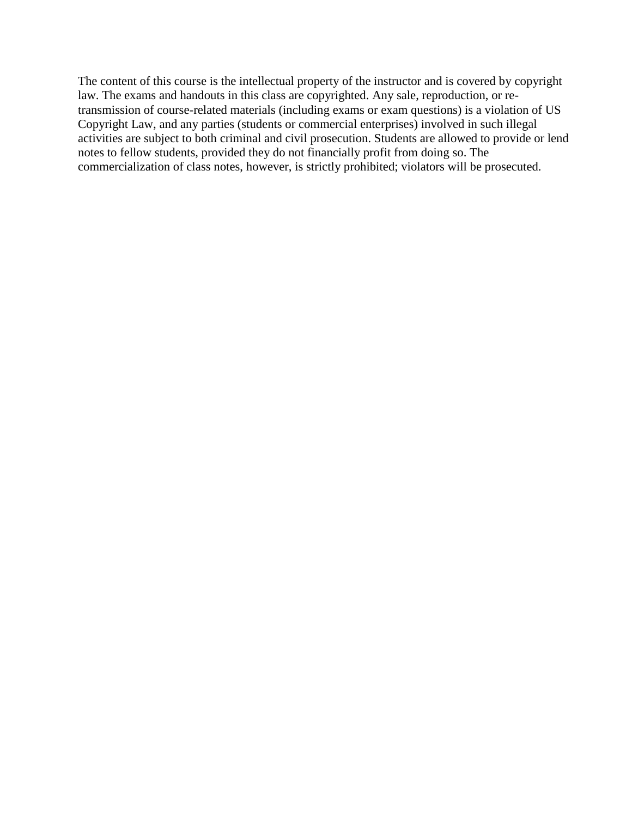The content of this course is the intellectual property of the instructor and is covered by copyright law. The exams and handouts in this class are copyrighted. Any sale, reproduction, or retransmission of course-related materials (including exams or exam questions) is a violation of US Copyright Law, and any parties (students or commercial enterprises) involved in such illegal activities are subject to both criminal and civil prosecution. Students are allowed to provide or lend notes to fellow students, provided they do not financially profit from doing so. The commercialization of class notes, however, is strictly prohibited; violators will be prosecuted.